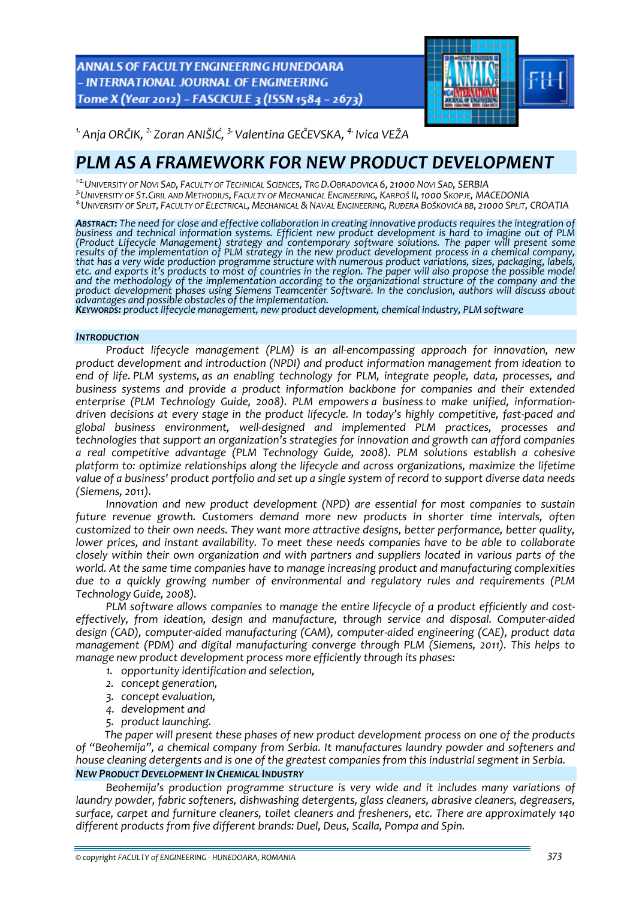ANNALS OF FACULTY ENGINEERING HUNEDOARA - INTERNATIONAL JOURNAL OF ENGINEERING Tome X (Year 2012) - FASCICULE 3 (ISSN 1584 - 2673)



*1.Anja ORČIK, 2. Zoran ANIŠIĆ, 3.Valentina GEČEVSKA, 4. Ivica VEŽA* 

# *PLM AS A FRAMEWORK FOR NEW PRODUCT DEVELOPMENT*

*<sup>1</sup>‐2.UNIVERSITY OF NOVI SAD, FACULTY OF TECHNICAL SCIENCES, TRG D.OBRADOVICA 6, 21000 NOVI SAD, SERBIA*

<sup>4</sup> UNIVERSITY OF SPLIT, FACULTY OF ELECTRICAL, MECHANICAL & NAVAL ENGINEERING, RUĐERA BOŠKOVIĆA BB, 21000 SPLIT, CROATIA

**Abstract:** The need for close and effective collaboration in creating innovative products requires the integration of<br>business and technical information systems. Efficient new product development is hard to imagine out of *(Product Lifecycle Management) strategy and contemporary software solutions. The paper will present some* results of the implementation of PLM strategy in the new product development process in a chemical company, that has a very wide production programme structure with numerous product variations, sizes, packaging, labels, etc. and exports it's products to most of countries in the region. The paper will also propose the possible model *and the methodology of the implementation according to the organizational structure of the company and the product development phases using Siemens Teamcenter Software. In the conclusion, authors will discuss about*

KEYWORDS: product lifecycle management, new product development, chemical industry, PLM software

#### *INTRODUCTION*

*Product lifecycle management (PLM) is an all‐encompassing approach for innovation, new product development and introduction (NPDI) and product information management from ideation to end of life. PLM systems, as an enabling technology for PLM, integrate people, data, processes, and business systems and provide a product information backbone for companies and their extended enterprise (PLM Technology Guide, 2008). PLM empowers a business to make unified, information‐ driven decisions at every stage in the product lifecycle. In today's highly competitive, fast‐paced and global business environment, well‐designed and implemented PLM practices, processes and technologies that support an organization's strategies for innovation and growth can afford companies a real competitive advantage (PLM Technology Guide, 2008). PLM solutions establish a cohesive platform to: optimize relationships along the lifecycle and across organizations, maximize the lifetime* value of a business' product portfolio and set up a single system of record to support diverse data needs *(Siemens, 2011).*

*Innovation and new product development (NPD) are essential for most companies to sustain future revenue growth. Customers demand more new products in shorter time intervals, often customized to their own needs. They want more attractive designs, better performance, better quality, lower prices, and instant availability. To meet these needs companies have to be able to collaborate closely within their own organization and with partners and suppliers located in various parts of the world. At the same time companies have to manage increasing product and manufacturing complexities due to a quickly growing number of environmental and regulatory rules and requirements (PLM Technology Guide, 2008).* 

*PLM software allows companies to manage the entire lifecycle of a product efficiently and cost‐ effectively, from ideation, design and manufacture, through service and disposal. Computer‐aided design (CAD), computer‐aided manufacturing (CAM), computer‐aided engineering (CAE), product data management (PDM) and digital manufacturing converge through PLM (Siemens, 2011). This helps to manage new product development process more efficiently through its phases:* 

- *1. opportunity identification and selection,*
- *2. concept generation,*
- *3. concept evaluation,*
- *4. development and*
- *5. product launching.*

*The paper will present these phases of new product development process on one of the products of "Beohemija", a chemical company from Serbia. It manufactures laundry powder and softeners and house cleaning detergents and is one of the greatest companies from this industrial segment in Serbia. NEW PRODUCT DEVELOPMENT IN CHEMICAL INDUSTRY*

*Beohemija's production programme structure is very wide and it includes many variations of laundry powder, fabric softeners, dishwashing detergents, glass cleaners, abrasive cleaners, degreasers, surface, carpet and furniture cleaners, toilet cleaners and fresheners, etc. There are approximately 140 different products from five different brands: Duel, Deus, Scalla, Pompa and Spin.*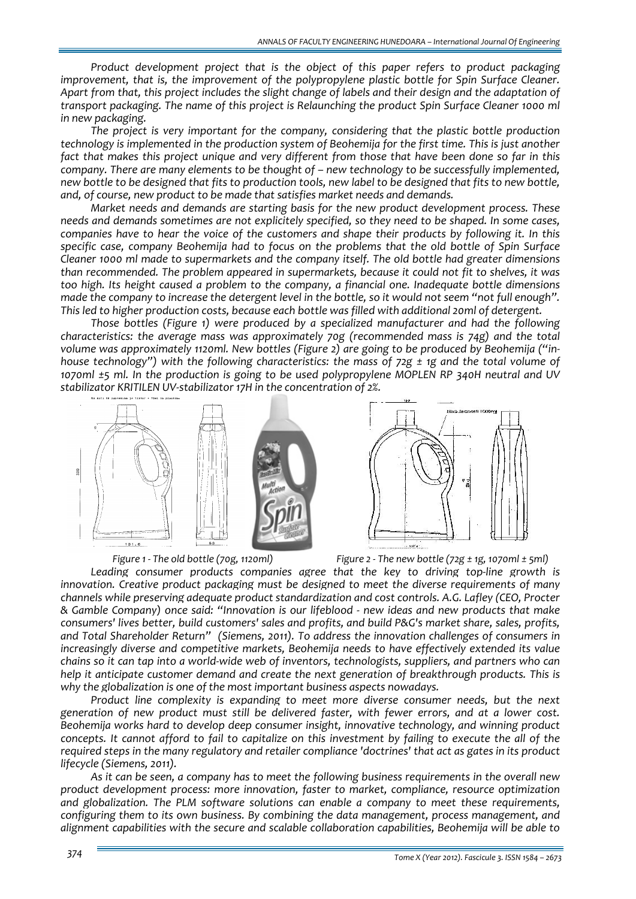*Product development project that is the object of this paper refers to product packaging improvement, that is, the improvement of the polypropylene plastic bottle for Spin Surface Cleaner.* Apart from that, this project includes the slight change of labels and their design and the adaptation of *transport packaging. The name of this project is Relaunching the product Spin Surface Cleaner 1000 ml in new packaging.* 

*The project is very important for the company, considering that the plastic bottle production technology is implemented in the production system of Beohemija for the first time. This is just another* fact that makes this project unique and very different from those that have been done so far in this *company. There are many elements to be thought of – new technology to be successfully implemented,* new bottle to be designed that fits to production tools, new label to be designed that fits to new bottle. *and, of course, new product to be made that satisfies market needs and demands.*

*Market needs and demands are starting basis for the new product development process. These needs and demands sometimes are not explicitely specified, so they need to be shaped. In some cases,* companies have to hear the voice of the customers and shape their products by following it. In this *specific case, company Beohemija had to focus on the problems that the old bottle of Spin Surface Cleaner 1000 ml made to supermarkets and the company itself. The old bottle had greater dimensions than recommended. The problem appeared in supermarkets, because it could not fit to shelves, it was too high. Its height caused a problem to the company, a financial one. Inadequate bottle dimensions* made the company to increase the detergent level in the bottle, so it would not seem "not full enough". *This led to higher production costs, because each bottle was filled with additional 20ml of detergent.*

*Those bottles (Figure 1) were produced by a specialized manufacturer and had the following characteristics: the average mass was approximately 70g (recommended mass is 74g) and the total volume was approximately 1120ml. New bottles (Figure 2) are going to be produced by Beohemija ("in‐ house technology") with the following characteristics: the mass of 72g ± 1g and the total volume of 1070ml ±5 ml. In the production is going to be used polypropylene MOPLEN RP 340H neutral and UV stabilizator KRITILEN UV‐stabilizator 17H in the concentration of 2%.*





*Leading consumer products companies agree that the key to driving top‐line growth is innovation. Creative product packaging must be designed to meet the diverse requirements of many channels while preserving adequate product standardization and cost controls. A.G. Lafley (CEO, Procter & Gamble Company) once said: "Innovation is our lifeblood ‐ new ideas and new products that make consumers' lives better, build customers' sales and profits, and build P&G's market share, sales, profits, and Total Shareholder Return" (Siemens, 2011). To address the innovation challenges of consumers in increasingly diverse and competitive markets, Beohemija needs to have effectively extended its value* chains so it can tap into a world-wide web of inventors, technologists, suppliers, and partners who can *help it anticipate customer demand and create the next generation of breakthrough products. This is why the globalization is one of the most important business aspects nowadays.*

*Product line complexity is expanding to meet more diverse consumer needs, but the next generation of new product must still be delivered faster, with fewer errors, and at a lower cost. Beohemija works hard to develop deep consumer insight, innovative technology, and winning product* concepts. It cannot afford to fail to capitalize on this investment by failing to execute the all of the required steps in the many regulatory and retailer compliance 'doctrines' that act as gates in its product *lifecycle (Siemens, 2011).* 

*As it can be seen, a company has to meet the following business requirements in the overall new product development process: more innovation, faster to market, compliance, resource optimization and globalization. The PLM software solutions can enable a company to meet these requirements, configuring them to its own business. By combining the data management, process management, and alignment capabilities with the secure and scalable collaboration capabilities, Beohemija will be able to*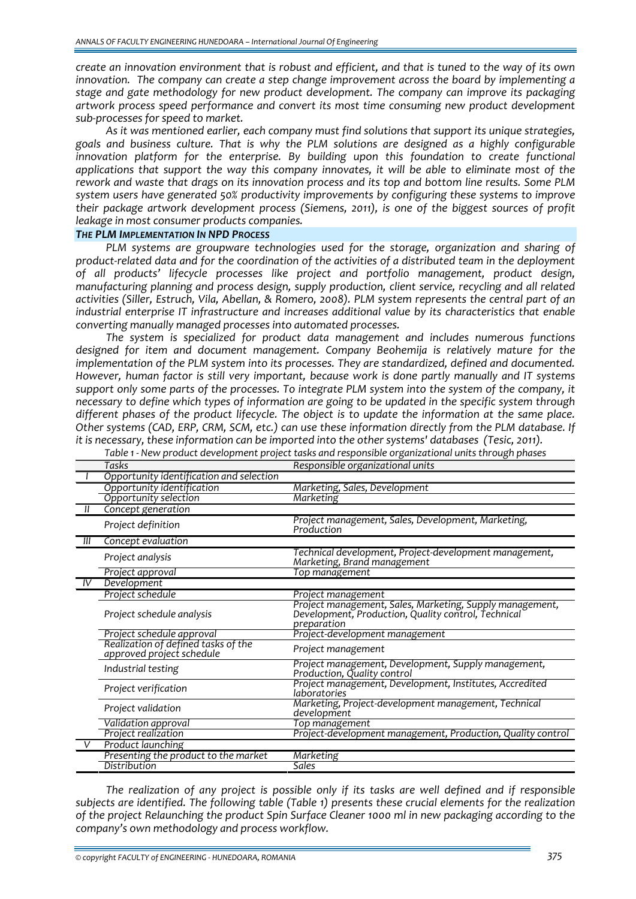create an innovation environment that is robust and efficient, and that is tuned to the way of its own *innovation. The company can create a step change improvement across the board by implementing a stage and gate methodology for new product development. The company can improve its packaging artwork process speed performance and convert its most time consuming new product development sub‐processes for speed to market.*

*As it was mentioned earlier, each company must find solutions that support its unique strategies, goals and business culture. That is why the PLM solutions are designed as a highly configurable innovation platform for the enterprise. By building upon this foundation to create functional applications that support the way this company innovates, it will be able to eliminate most of the* rework and waste that drags on its innovation process and its top and bottom line results. Some PLM *system users have generated 50% productivity improvements by configuring these systems to improve their package artwork development process (Siemens, 2011), is one of the biggest sources of profit leakage in most consumer products companies.*

## *THE PLM IMPLEMENTATION IN NPD PROCESS*

*PLM systems are groupware technologies used for the storage, organization and sharing of* product-related data and for the coordination of the activities of a distributed team in the deployment *of all products' lifecycle processes like project and portfolio management, product design, manufacturing planning and process design, supply production, client service, recycling and all related activities (Siller, Estruch, Vila, Abellan, & Romero, 2008). PLM system represents the central part of an industrial enterprise IT infrastructure and increases additional value by its characteristics that enable converting manually managed processes into automated processes.*

*The system is specialized for product data management and includes numerous functions designed for item and document management. Company Beohemija is relatively mature for the implementation of the PLM system into its processes. They are standardized, defined and documented. However, human factor is still very important, because work is done partly manually and IT systems* support only some parts of the processes. To integrate PLM system into the system of the company, it *necessary to define which types of information are going to be updated in the specific system through different phases of the product lifecycle. The object is to update the information at the same place. Other systems (CAD, ERP, CRM, SCM, etc.) can use these information directly from the PLM database. If it is necessary, these information can be imported into the other systems' databases (Tesic, 2011).*

|    | Tasks                                                            | Responsible organizational units                                                                                               |  |
|----|------------------------------------------------------------------|--------------------------------------------------------------------------------------------------------------------------------|--|
|    | Opportunity identification and selection                         |                                                                                                                                |  |
|    | Opportunity identification                                       | Marketing, Sales, Development                                                                                                  |  |
|    | Opportunity selection                                            | <b>Marketing</b>                                                                                                               |  |
|    | Concept generation                                               |                                                                                                                                |  |
|    | Project definition                                               | Project management, Sales, Development, Marketing,<br>Production                                                               |  |
| Ш  | Concept evaluation                                               |                                                                                                                                |  |
|    | Project analysis                                                 | Technical development, Project-development management,<br>Marketing, Brand management                                          |  |
|    | Project approval                                                 | Top management                                                                                                                 |  |
| IV | Development                                                      |                                                                                                                                |  |
|    | Project schedule                                                 | Project management                                                                                                             |  |
|    | Project schedule analysis                                        | Project management, Sales, Marketing, Supply management,<br>Development, Production, Quality control, Technical<br>preparation |  |
|    | Project schedule approval                                        | Project-development management                                                                                                 |  |
|    | Realization of defined tasks of the<br>approved próject schedule | Project management                                                                                                             |  |
|    | Industrial testing                                               | Project management, Development, Supply management,<br>Production, Quality control                                             |  |
|    | Project verification                                             | Project management, Development, Institutes, Accredited<br>laboratories                                                        |  |
|    | Project validation                                               | Marketing, Project-development management, Technical<br>development                                                            |  |
|    | Validation approval                                              | Top management                                                                                                                 |  |
|    | Project realization                                              | Project-development management, Production, Quality control                                                                    |  |
|    | Product launching                                                |                                                                                                                                |  |
|    | Presenting the product to the market                             | <b>Marketing</b>                                                                                                               |  |
|    | Distribution                                                     | <b>Sales</b>                                                                                                                   |  |

*Table 1 ‐ New product development project tasks and responsible organizational units through phases*

*The realization of any project is possible only if its tasks are well defined and if responsible subjects are identified. The following table (Table 1) presents these crucial elements for the realization of the project Relaunching the product Spin Surface Cleaner 1000 ml in new packaging according to the company's own methodology and process workflow.*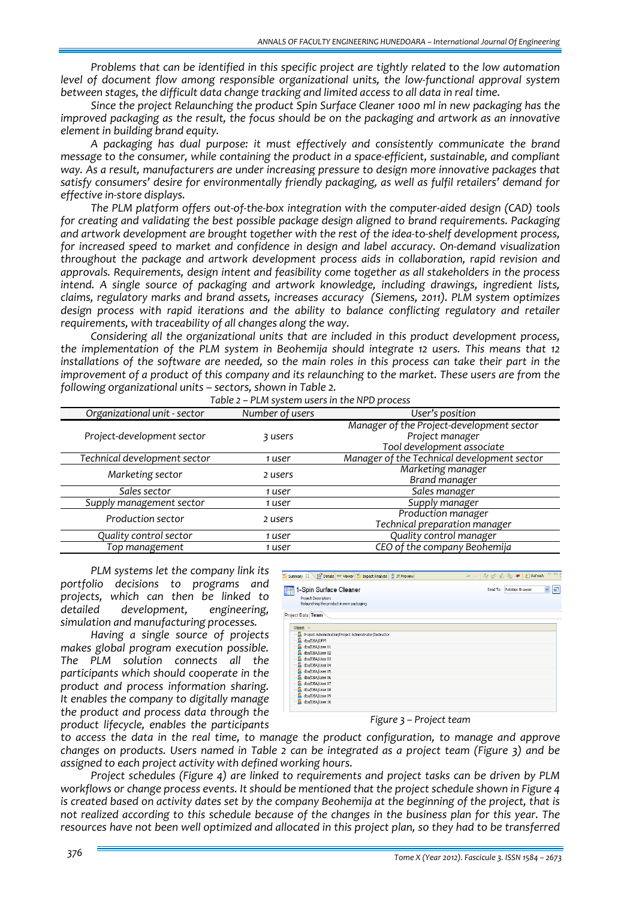*Problems that can be identified in this specific project are tightly related to the low automation level of document flow among responsible organizational units, the low‐functional approval system between stages, the difficult data change tracking and limited access to all data in real time.*

*Since the project Relaunching the product Spin Surface Cleaner 1000 ml in new packaging has the improved packaging as the result, the focus should be on the packaging and artwork as an innovative element in building brand equity.* 

*A packaging has dual purpose: it must effectively and consistently communicate the brand message to the consumer, while containing the product in a space‐efficient, sustainable, and compliant way. As a result, manufacturers are under increasing pressure to design more innovative packages that satisfy consumers' desire for environmentally friendly packaging, as well as fulfil retailers' demand for effective in‐store displays.*

The PLM platform offers out-of-the-box integration with the computer-aided design (CAD) tools *for creating and validating the best possible package design aligned to brand requirements. Packaging* and artwork development are brought together with the rest of the idea-to-shelf development process. *for increased speed to market and confidence in design and label accuracy. On‐demand visualization throughout the package and artwork development process aids in collaboration, rapid revision and approvals. Requirements, design intent and feasibility come together as all stakeholders in the process intend. A single source of packaging and artwork knowledge, including drawings, ingredient lists, claims, regulatory marks and brand assets, increases accuracy (Siemens, 2011). PLM system optimizes design process with rapid iterations and the ability to balance conflicting regulatory and retailer requirements, with traceability of all changes along the way.*

*Considering all the organizational units that are included in this product development process, the implementation of the PLM system in Beohemija should integrate 12 users. This means that 12* installations of the software are needed, so the main roles in this process can take their part in the improvement of a product of this company and its relaunching to the market. These users are from the *following organizational units – sectors, shown in Table 2.*

| Organizational unit - sector | Number of users | User's position                             |
|------------------------------|-----------------|---------------------------------------------|
|                              |                 | Manager of the Project-development sector   |
| Project-development sector   | 3 users         | Project manager                             |
|                              |                 | Tool development associate                  |
| Technical development sector | 1 user          | Manager of the Technical development sector |
|                              |                 | Marketing manager                           |
| Marketing sector             | 2 users         | Brand manager                               |
| Sales sector                 | 1 user          | Sales manager                               |
| Supply management sector     | 1 user          | Supply manager                              |
| Production sector            | 2 users         | Production manager                          |
|                              |                 | Technical preparation manager               |
| Quality control sector       | 1 user          | Quality control manager                     |
| Top management               | 1 user          | CEO of the company Beohemija                |

*Table 2 – PLM system users in the NPD process*

*PLM systems let the company link its portfolio decisions to programs and projects, which can then be linked to detailed development, engineering, simulation and manufacturing processes.* 

*Having a single source of projects makes global program execution possible. The PLM solution connects all the participants which should cooperate in the product and process information sharing. It enables the company to digitally manage the product and process data through the product lifecycle, enables the participants*

| 1-Spin Surface Cleaner                                           | Send To: Relation Browser<br>$\checkmark$ |
|------------------------------------------------------------------|-------------------------------------------|
| Project Description:<br>Relaunching the product in new packaging |                                           |
|                                                                  |                                           |
| Project Data Team                                                |                                           |
| Object $\triangle$                                               |                                           |
| Project Administration/Project Administrator/Instructor          |                                           |
| dba/DBA/DFM<br>я.                                                |                                           |
| dba/DBA/User 01                                                  |                                           |
| dba/DBA/User 02                                                  |                                           |
| dba/DBA/User 03                                                  |                                           |
| dba/DBA/User 04                                                  |                                           |
| dba/DBA/User 05<br>О.                                            |                                           |
| -A dba/DBA/User 06                                               |                                           |
| dba/DBA/User 07<br>я<br>dba/DBA/User 08                          |                                           |
| dba/DBA/User 09                                                  |                                           |
| dba/DBA/User 10                                                  |                                           |

# *Figure 3 – Project team*

*to access the data in the real time, to manage the product configuration, to manage and approve* changes on products. Users named in Table 2 can be integrated as a project team (Figure 3) and be *assigned to each project activity with defined working hours.* 

*Project schedules (Figure 4) are linked to requirements and project tasks can be driven by PLM workflows or change process events. It should be mentioned that the project schedule shown in Figure 4* is created based on activity dates set by the company Beohemija at the beginning of the project, that is not realized according to this schedule because of the changes in the business plan for this year. The resources have not been well optimized and allocated in this project plan, so they had to be transferred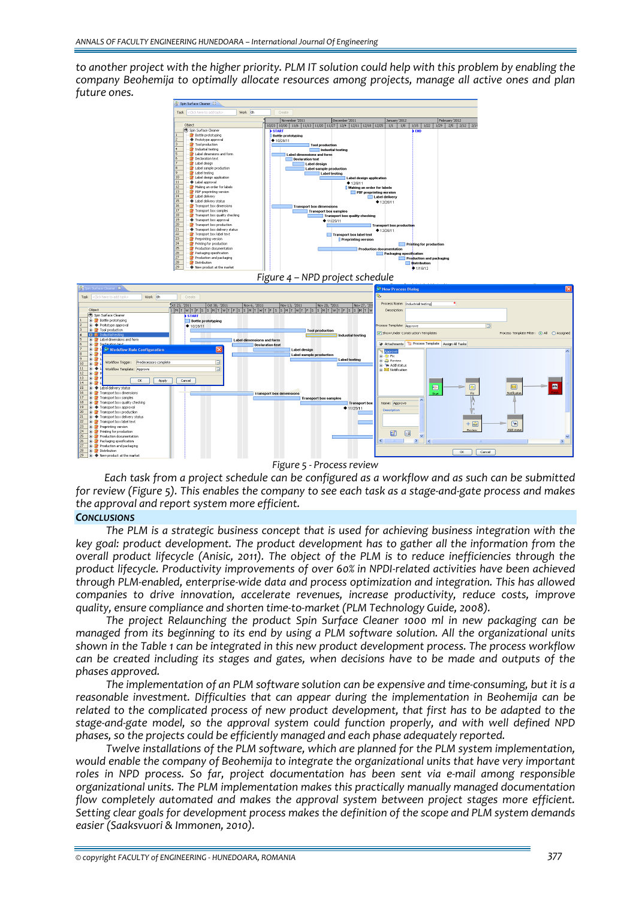to another project with the higher priority. PLM IT solution could help with this problem by enabling the *company Beohemija to optimally allocate resources among projects, manage all active ones and plan future ones.*



*Figure 5 ‐ Process review*

*Each task from a project schedule can be configured as a workflow and as such can be submitted* for review (Figure 5). This enables the company to see each task as a stage-and-gate process and makes *the approval and report system more efficient.*

#### *CONCLUSIONS*

*The PLM is a strategic business concept that is used for achieving business integration with the key goal: product development. The product development has to gather all the information from the overall product lifecycle (Anisic, 2011). The object of the PLM is to reduce inefficiencies through the product lifecycle. Productivity improvements of over 60% in NPDI‐related activities have been achieved through PLM‐enabled, enterprise‐wide data and process optimization and integration. This has allowed companies to drive innovation, accelerate revenues, increase productivity, reduce costs, improve quality, ensure compliance and shorten time‐to‐market (PLM Technology Guide, 2008).* 

*The project Relaunching the product Spin Surface Cleaner 1000 ml in new packaging can be managed from its beginning to its end by using a PLM software solution. All the organizational units shown in the Table 1 can be integrated in this new product development process. The process workflow can be created including its stages and gates, when decisions have to be made and outputs of the phases approved.* 

*The implementation of an PLM software solution can be expensive and time‐consuming, but it is a reasonable investment. Difficulties that can appear during the implementation in Beohemija can be related to the complicated process of new product development, that first has to be adapted to the stage‐and‐gate model, so the approval system could function properly, and with well defined NPD phases, so the projects could be efficiently managed and each phase adequately reported.*

*Twelve installations of the PLM software, which are planned for the PLM system implementation, would enable the company of Beohemija to integrate the organizational units that have very important roles in NPD process. So far, project documentation has been sent via e‐mail among responsible organizational units. The PLM implementation makes this practically manually managed documentation flow completely automated and makes the approval system between project stages more efficient. Setting clear goals for development process makes the definition of the scope and PLM system demands easier (Saaksvuori & Immonen, 2010).*